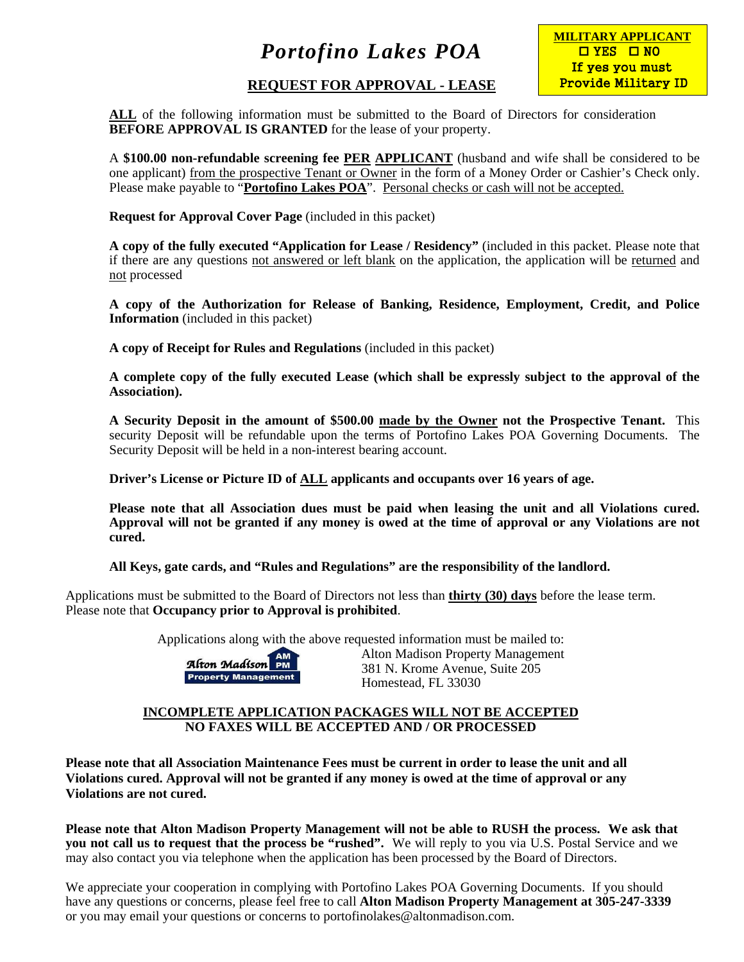### **REQUEST FOR APPROVAL - LEASE**



**ALL** of the following information must be submitted to the Board of Directors for consideration **BEFORE APPROVAL IS GRANTED** for the lease of your property.

A **\$100.00 non-refundable screening fee PER APPLICANT** (husband and wife shall be considered to be one applicant) from the prospective Tenant or Owner in the form of a Money Order or Cashier's Check only. Please make payable to "**Portofino Lakes POA**". Personal checks or cash will not be accepted.

**Request for Approval Cover Page** (included in this packet)

**A copy of the fully executed "Application for Lease / Residency"** (included in this packet. Please note that if there are any questions not answered or left blank on the application, the application will be returned and not processed

**A copy of the Authorization for Release of Banking, Residence, Employment, Credit, and Police Information** (included in this packet)

**A copy of Receipt for Rules and Regulations** (included in this packet)

**A complete copy of the fully executed Lease (which shall be expressly subject to the approval of the Association).** 

**A Security Deposit in the amount of \$500.00 made by the Owner not the Prospective Tenant.** This security Deposit will be refundable upon the terms of Portofino Lakes POA Governing Documents. The Security Deposit will be held in a non-interest bearing account.

**Driver's License or Picture ID of ALL applicants and occupants over 16 years of age.** 

**Please note that all Association dues must be paid when leasing the unit and all Violations cured. Approval will not be granted if any money is owed at the time of approval or any Violations are not cured.** 

**All Keys, gate cards, and "Rules and Regulations" are the responsibility of the landlord.** 

Applications must be submitted to the Board of Directors not less than **thirty (30) days** before the lease term. Please note that **Occupancy prior to Approval is prohibited**.

Applications along with the above requested information must be mailed to:



Alton Madison Property Management **Alton Madison PM**<br>Property Management<br>N. M. S. (1903) N. Krone Avenue, Suite 205 Homestead, FL 33030

#### **INCOMPLETE APPLICATION PACKAGES WILL NOT BE ACCEPTED NO FAXES WILL BE ACCEPTED AND / OR PROCESSED**

**Please note that all Association Maintenance Fees must be current in order to lease the unit and all Violations cured. Approval will not be granted if any money is owed at the time of approval or any Violations are not cured.** 

**Please note that Alton Madison Property Management will not be able to RUSH the process. We ask that you not call us to request that the process be "rushed".** We will reply to you via U.S. Postal Service and we may also contact you via telephone when the application has been processed by the Board of Directors.

We appreciate your cooperation in complying with Portofino Lakes POA Governing Documents. If you should have any questions or concerns, please feel free to call **Alton Madison Property Management at 305-247-3339** or you may email your questions or concerns to portofinolakes@altonmadison.com.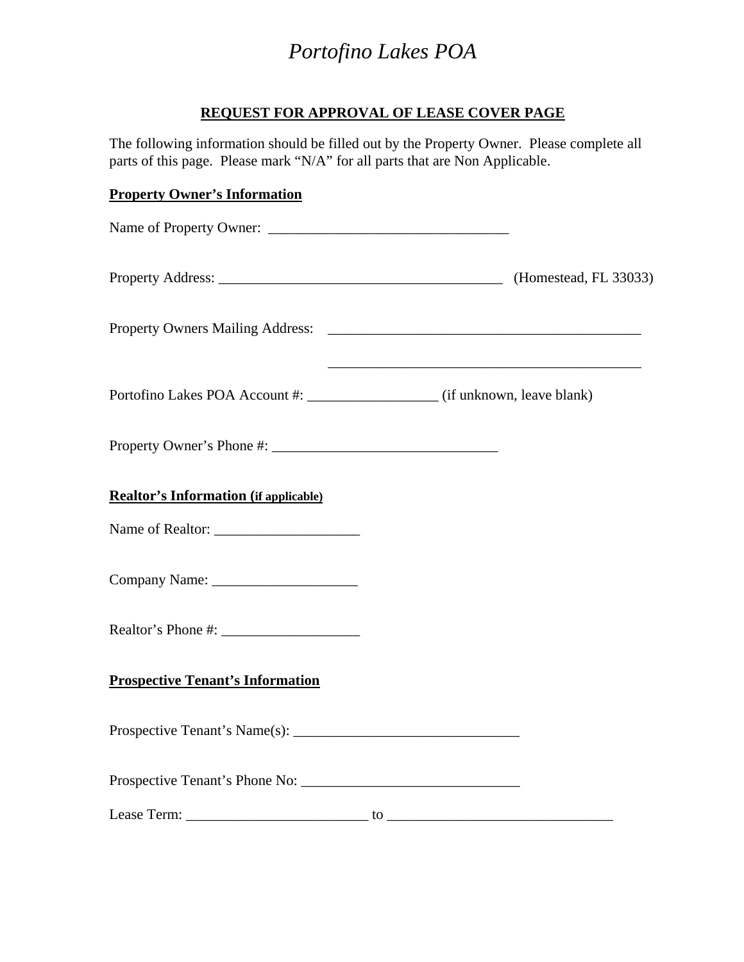### **REQUEST FOR APPROVAL OF LEASE COVER PAGE**

The following information should be filled out by the Property Owner. Please complete all parts of this page. Please mark "N/A" for all parts that are Non Applicable.

# **Property Owner's Information** Name of Property Owner: Property Address: (Homestead, FL 33033) Property Owners Mailing Address: \_\_\_\_\_\_\_\_\_\_\_\_\_\_\_\_\_\_\_\_\_\_\_\_\_\_\_\_\_\_\_\_\_\_\_\_\_\_\_\_\_\_\_  $\overline{\phantom{a}}$  , and the contract of the contract of the contract of the contract of the contract of the contract of the contract of the contract of the contract of the contract of the contract of the contract of the contrac Portofino Lakes POA Account #:  $\qquad \qquad$  (if unknown, leave blank) Property Owner's Phone #: \_\_\_\_\_\_\_\_\_\_\_\_\_\_\_\_\_\_\_\_\_\_\_\_\_\_\_\_\_\_\_ **Realtor's Information (if applicable)**  Name of Realtor: Company Name: \_\_\_\_\_\_\_\_\_\_\_\_\_\_\_\_\_\_\_\_ Realtor's Phone #: **Prospective Tenant's Information**  Prospective Tenant's Name $(s)$ : Prospective Tenant's Phone No: Lease Term: \_\_\_\_\_\_\_\_\_\_\_\_\_\_\_\_\_\_\_\_\_\_\_\_\_ to \_\_\_\_\_\_\_\_\_\_\_\_\_\_\_\_\_\_\_\_\_\_\_\_\_\_\_\_\_\_\_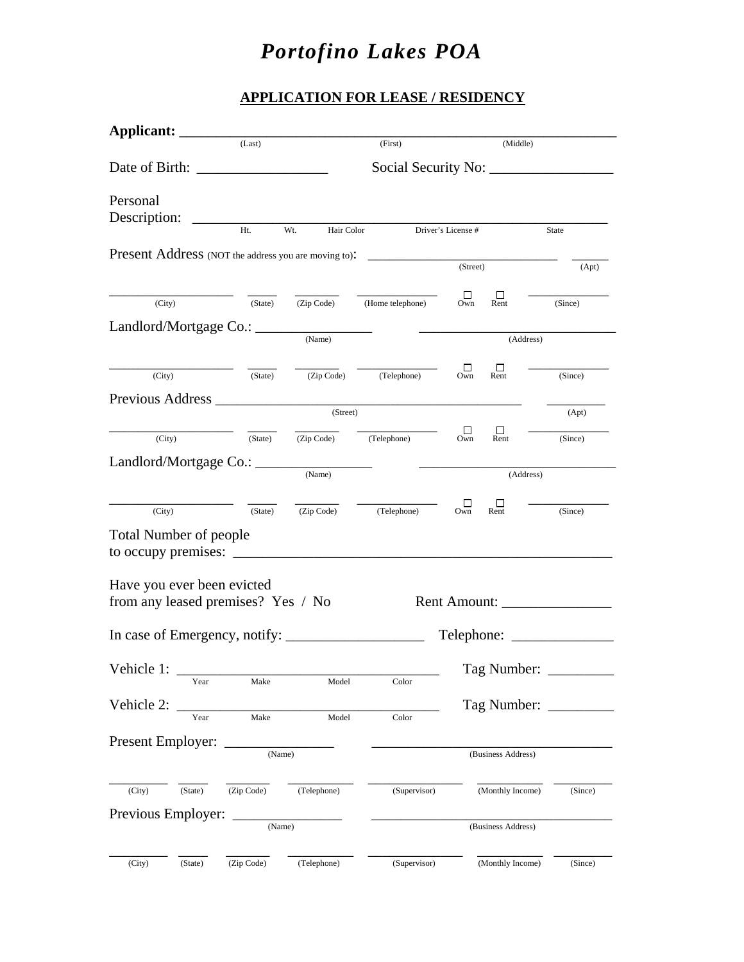### **APPLICATION FOR LEASE / RESIDENCY**

| Applicant: ________           |         |                                    |                   |                                                                                   |               |                                |         |
|-------------------------------|---------|------------------------------------|-------------------|-----------------------------------------------------------------------------------|---------------|--------------------------------|---------|
|                               | (Last)  |                                    |                   | (First)                                                                           |               | (Middle)                       |         |
|                               |         |                                    |                   |                                                                                   |               |                                |         |
| Personal                      |         |                                    |                   |                                                                                   |               |                                |         |
|                               |         |                                    |                   |                                                                                   |               |                                |         |
|                               |         | Ht.                                | Wt.<br>Hair Color | Driver's License #                                                                |               |                                | State   |
|                               |         |                                    |                   | Present Address (NOT the address you are moving to): ____________________________ | (Street)      |                                |         |
|                               |         |                                    |                   |                                                                                   |               |                                | (Apt)   |
| (City)                        |         | (State)                            | (Zip Code)        | (Home telephone)                                                                  | $\Box$<br>Own | ш<br>Rent                      | (Since) |
|                               |         |                                    |                   |                                                                                   |               |                                |         |
|                               |         |                                    | (Name)            |                                                                                   | (Address)     |                                |         |
|                               | (City)  | (State)                            |                   | (Zip Code) (Telephone)                                                            | □<br>Own      | ப<br>Rent                      | (Since) |
|                               |         |                                    |                   |                                                                                   |               |                                |         |
|                               |         |                                    | (Street)          |                                                                                   |               |                                | (Apt)   |
| (City)                        |         |                                    |                   | $(State)$ $(Zip Code)$ $(Telephone)$                                              | □<br>Own      | $\Box$<br>Rent                 | (Since) |
|                               |         |                                    |                   |                                                                                   |               |                                |         |
| Landlord/Mortgage Co.: ____   |         |                                    | (Name)            |                                                                                   |               | (Address)                      |         |
|                               |         |                                    |                   |                                                                                   |               |                                |         |
| (City)                        |         | (State)                            |                   | (Zip Code) (Telephone)                                                            | $\Box$<br>Own | ப<br>Rent                      | (Since) |
| <b>Total Number of people</b> |         |                                    |                   |                                                                                   |               |                                |         |
|                               |         |                                    |                   | to occupy premises: $\sqrt{ }$                                                    |               |                                |         |
|                               |         |                                    |                   |                                                                                   |               |                                |         |
| Have you ever been evicted    |         | from any leased premises? Yes / No |                   |                                                                                   |               | Rent Amount: _________________ |         |
|                               |         |                                    |                   |                                                                                   |               |                                |         |
|                               |         | In case of Emergency, notify:      |                   | $\mathbb{R}^2$                                                                    |               |                                |         |
| Vehicle 1:                    |         |                                    |                   |                                                                                   |               | Tag Number: _______            |         |
|                               | Year    | Make                               | Model             | Color                                                                             |               |                                |         |
| Vehicle 2:                    |         |                                    |                   |                                                                                   |               |                                |         |
|                               | Year    | Make                               | Model             | Color                                                                             |               |                                |         |
| Present Employer:             |         | (Name)                             |                   |                                                                                   |               |                                |         |
|                               |         |                                    |                   |                                                                                   |               | (Business Address)             |         |
| (City)                        | (State) | (Zip Code)                         | (Telephone)       | (Supervisor)                                                                      |               | (Monthly Income)               | (Since) |
|                               |         |                                    |                   |                                                                                   |               |                                |         |
| Previous Employer:<br>(Name)  |         |                                    |                   | (Business Address)                                                                |               |                                |         |
|                               |         |                                    |                   |                                                                                   |               |                                |         |
| (City)                        | (State) | (Zip Code)                         | (Telephone)       | (Supervisor)                                                                      |               | (Monthly Income)               | (Since) |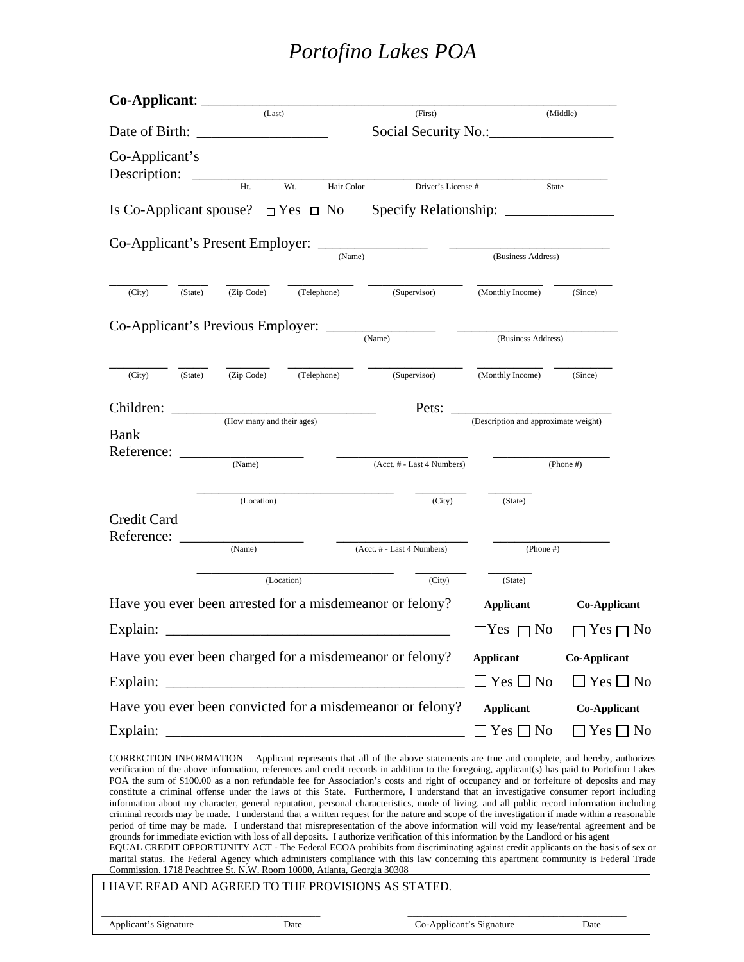| Date of Birth:<br>Co-Applicant's<br>Description:<br>Ht.<br>Wt.<br>Hair Color<br>Driver's License #<br>State<br>Is Co-Applicant spouse? $\Box$ Yes $\Box$ No<br>Co-Applicant's Present Employer:<br>(Name)<br>(Business Address)<br>(Telephone)<br>(Supervisor)<br>(Zip Code)<br>(Monthly Income)<br>(City)<br>(State)<br>(Since)<br>Co-Applicant's Previous Employer: _______________<br>(Name)<br>(Business Address)<br>(Telephone)<br>(Supervisor)<br>(Zip Code)<br>(Monthly Income)<br>(City)<br>(State)<br>(Since)<br>Children:<br>Pets:<br>(Description and approximate weight)<br>(How many and their ages)<br>Bank<br>Reference:<br>(Name)<br>(Acct. # - Last 4 Numbers)<br>(Phone #)<br>(Location)<br>(City)<br>(State)<br>Credit Card<br>Reference:<br>(Name)<br>(Acct. # - Last 4 Numbers)<br>$(Phone \#)$<br>(Location)<br>(City)<br>(State)<br>Have you ever been arrested for a misdemeanor or felony?<br><b>Applicant</b><br><b>Co-Applicant</b><br>Explain:<br>Yes<br>Yes p<br>No<br>ר No<br>Have you ever been charged for a misdemeanor or felony?<br><b>Applicant</b><br><b>Co-Applicant</b><br>$\square$ Yes $\square$ No<br>$\Box$ Yes $\Box$ No<br>Explain:<br>Have you ever been convicted for a misdemeanor or felony?<br><b>Applicant</b><br><b>Co-Applicant</b><br>Explain:<br>$\Box$ Yes $\Box$ No<br>$Yes \Box No$<br>CORRECTION INFORMATION - Applicant represents that all of the above statements are true and complete, and hereby, authorizes<br>verification of the above information, references and credit records in addition to the foregoing, applicant(s) has paid to Portofino Lakes<br>POA the sum of \$100.00 as a non refundable fee for Association's costs and right of occupancy and or forfeiture of deposits and may<br>information about my character, general reputation, personal characteristics, mode of living, and all public record information including<br>criminal records may be made. I understand that a written request for the nature and scope of the investigation if made within a reasonable<br>period of time may be made. I understand that misrepresentation of the above information will void my lease/rental agreement and be<br>grounds for immediate eviction with loss of all deposits. I authorize verification of this information by the Landlord or his agent<br>EQUAL CREDIT OPPORTUNITY ACT - The Federal ECOA prohibits from discriminating against credit applicants on the basis of sex or<br>marital status. The Federal Agency which administers compliance with this law concerning this apartment community is Federal Trade<br>Commission. 1718 Peachtree St. N.W. Room 10000, Atlanta, Georgia 30308<br>I HAVE READ AND AGREED TO THE PROVISIONS AS STATED.<br>Co-Applicant's Signature<br>Applicant's Signature<br>Date<br>Date |  |  | (Last) |  | (First) |  | (Middle) |  |  |  |  |  |
|------------------------------------------------------------------------------------------------------------------------------------------------------------------------------------------------------------------------------------------------------------------------------------------------------------------------------------------------------------------------------------------------------------------------------------------------------------------------------------------------------------------------------------------------------------------------------------------------------------------------------------------------------------------------------------------------------------------------------------------------------------------------------------------------------------------------------------------------------------------------------------------------------------------------------------------------------------------------------------------------------------------------------------------------------------------------------------------------------------------------------------------------------------------------------------------------------------------------------------------------------------------------------------------------------------------------------------------------------------------------------------------------------------------------------------------------------------------------------------------------------------------------------------------------------------------------------------------------------------------------------------------------------------------------------------------------------------------------------------------------------------------------------------------------------------------------------------------------------------------------------------------------------------------------------------------------------------------------------------------------------------------------------------------------------------------------------------------------------------------------------------------------------------------------------------------------------------------------------------------------------------------------------------------------------------------------------------------------------------------------------------------------------------------------------------------------------------------------------------------------------------------------------------------------------------------------------------------------------------------------------------------------------------------------------------------------------------------------------------------------------------------------------------------------------------------------------|--|--|--------|--|---------|--|----------|--|--|--|--|--|
|                                                                                                                                                                                                                                                                                                                                                                                                                                                                                                                                                                                                                                                                                                                                                                                                                                                                                                                                                                                                                                                                                                                                                                                                                                                                                                                                                                                                                                                                                                                                                                                                                                                                                                                                                                                                                                                                                                                                                                                                                                                                                                                                                                                                                                                                                                                                                                                                                                                                                                                                                                                                                                                                                                                                                                                                                              |  |  |        |  |         |  |          |  |  |  |  |  |
|                                                                                                                                                                                                                                                                                                                                                                                                                                                                                                                                                                                                                                                                                                                                                                                                                                                                                                                                                                                                                                                                                                                                                                                                                                                                                                                                                                                                                                                                                                                                                                                                                                                                                                                                                                                                                                                                                                                                                                                                                                                                                                                                                                                                                                                                                                                                                                                                                                                                                                                                                                                                                                                                                                                                                                                                                              |  |  |        |  |         |  |          |  |  |  |  |  |
| constitute a criminal offense under the laws of this State. Furthermore, I understand that an investigative consumer report including                                                                                                                                                                                                                                                                                                                                                                                                                                                                                                                                                                                                                                                                                                                                                                                                                                                                                                                                                                                                                                                                                                                                                                                                                                                                                                                                                                                                                                                                                                                                                                                                                                                                                                                                                                                                                                                                                                                                                                                                                                                                                                                                                                                                                                                                                                                                                                                                                                                                                                                                                                                                                                                                                        |  |  |        |  |         |  |          |  |  |  |  |  |
|                                                                                                                                                                                                                                                                                                                                                                                                                                                                                                                                                                                                                                                                                                                                                                                                                                                                                                                                                                                                                                                                                                                                                                                                                                                                                                                                                                                                                                                                                                                                                                                                                                                                                                                                                                                                                                                                                                                                                                                                                                                                                                                                                                                                                                                                                                                                                                                                                                                                                                                                                                                                                                                                                                                                                                                                                              |  |  |        |  |         |  |          |  |  |  |  |  |
|                                                                                                                                                                                                                                                                                                                                                                                                                                                                                                                                                                                                                                                                                                                                                                                                                                                                                                                                                                                                                                                                                                                                                                                                                                                                                                                                                                                                                                                                                                                                                                                                                                                                                                                                                                                                                                                                                                                                                                                                                                                                                                                                                                                                                                                                                                                                                                                                                                                                                                                                                                                                                                                                                                                                                                                                                              |  |  |        |  |         |  |          |  |  |  |  |  |
|                                                                                                                                                                                                                                                                                                                                                                                                                                                                                                                                                                                                                                                                                                                                                                                                                                                                                                                                                                                                                                                                                                                                                                                                                                                                                                                                                                                                                                                                                                                                                                                                                                                                                                                                                                                                                                                                                                                                                                                                                                                                                                                                                                                                                                                                                                                                                                                                                                                                                                                                                                                                                                                                                                                                                                                                                              |  |  |        |  |         |  |          |  |  |  |  |  |
|                                                                                                                                                                                                                                                                                                                                                                                                                                                                                                                                                                                                                                                                                                                                                                                                                                                                                                                                                                                                                                                                                                                                                                                                                                                                                                                                                                                                                                                                                                                                                                                                                                                                                                                                                                                                                                                                                                                                                                                                                                                                                                                                                                                                                                                                                                                                                                                                                                                                                                                                                                                                                                                                                                                                                                                                                              |  |  |        |  |         |  |          |  |  |  |  |  |
|                                                                                                                                                                                                                                                                                                                                                                                                                                                                                                                                                                                                                                                                                                                                                                                                                                                                                                                                                                                                                                                                                                                                                                                                                                                                                                                                                                                                                                                                                                                                                                                                                                                                                                                                                                                                                                                                                                                                                                                                                                                                                                                                                                                                                                                                                                                                                                                                                                                                                                                                                                                                                                                                                                                                                                                                                              |  |  |        |  |         |  |          |  |  |  |  |  |
|                                                                                                                                                                                                                                                                                                                                                                                                                                                                                                                                                                                                                                                                                                                                                                                                                                                                                                                                                                                                                                                                                                                                                                                                                                                                                                                                                                                                                                                                                                                                                                                                                                                                                                                                                                                                                                                                                                                                                                                                                                                                                                                                                                                                                                                                                                                                                                                                                                                                                                                                                                                                                                                                                                                                                                                                                              |  |  |        |  |         |  |          |  |  |  |  |  |
|                                                                                                                                                                                                                                                                                                                                                                                                                                                                                                                                                                                                                                                                                                                                                                                                                                                                                                                                                                                                                                                                                                                                                                                                                                                                                                                                                                                                                                                                                                                                                                                                                                                                                                                                                                                                                                                                                                                                                                                                                                                                                                                                                                                                                                                                                                                                                                                                                                                                                                                                                                                                                                                                                                                                                                                                                              |  |  |        |  |         |  |          |  |  |  |  |  |
|                                                                                                                                                                                                                                                                                                                                                                                                                                                                                                                                                                                                                                                                                                                                                                                                                                                                                                                                                                                                                                                                                                                                                                                                                                                                                                                                                                                                                                                                                                                                                                                                                                                                                                                                                                                                                                                                                                                                                                                                                                                                                                                                                                                                                                                                                                                                                                                                                                                                                                                                                                                                                                                                                                                                                                                                                              |  |  |        |  |         |  |          |  |  |  |  |  |
|                                                                                                                                                                                                                                                                                                                                                                                                                                                                                                                                                                                                                                                                                                                                                                                                                                                                                                                                                                                                                                                                                                                                                                                                                                                                                                                                                                                                                                                                                                                                                                                                                                                                                                                                                                                                                                                                                                                                                                                                                                                                                                                                                                                                                                                                                                                                                                                                                                                                                                                                                                                                                                                                                                                                                                                                                              |  |  |        |  |         |  |          |  |  |  |  |  |
|                                                                                                                                                                                                                                                                                                                                                                                                                                                                                                                                                                                                                                                                                                                                                                                                                                                                                                                                                                                                                                                                                                                                                                                                                                                                                                                                                                                                                                                                                                                                                                                                                                                                                                                                                                                                                                                                                                                                                                                                                                                                                                                                                                                                                                                                                                                                                                                                                                                                                                                                                                                                                                                                                                                                                                                                                              |  |  |        |  |         |  |          |  |  |  |  |  |
|                                                                                                                                                                                                                                                                                                                                                                                                                                                                                                                                                                                                                                                                                                                                                                                                                                                                                                                                                                                                                                                                                                                                                                                                                                                                                                                                                                                                                                                                                                                                                                                                                                                                                                                                                                                                                                                                                                                                                                                                                                                                                                                                                                                                                                                                                                                                                                                                                                                                                                                                                                                                                                                                                                                                                                                                                              |  |  |        |  |         |  |          |  |  |  |  |  |
|                                                                                                                                                                                                                                                                                                                                                                                                                                                                                                                                                                                                                                                                                                                                                                                                                                                                                                                                                                                                                                                                                                                                                                                                                                                                                                                                                                                                                                                                                                                                                                                                                                                                                                                                                                                                                                                                                                                                                                                                                                                                                                                                                                                                                                                                                                                                                                                                                                                                                                                                                                                                                                                                                                                                                                                                                              |  |  |        |  |         |  |          |  |  |  |  |  |
|                                                                                                                                                                                                                                                                                                                                                                                                                                                                                                                                                                                                                                                                                                                                                                                                                                                                                                                                                                                                                                                                                                                                                                                                                                                                                                                                                                                                                                                                                                                                                                                                                                                                                                                                                                                                                                                                                                                                                                                                                                                                                                                                                                                                                                                                                                                                                                                                                                                                                                                                                                                                                                                                                                                                                                                                                              |  |  |        |  |         |  |          |  |  |  |  |  |
|                                                                                                                                                                                                                                                                                                                                                                                                                                                                                                                                                                                                                                                                                                                                                                                                                                                                                                                                                                                                                                                                                                                                                                                                                                                                                                                                                                                                                                                                                                                                                                                                                                                                                                                                                                                                                                                                                                                                                                                                                                                                                                                                                                                                                                                                                                                                                                                                                                                                                                                                                                                                                                                                                                                                                                                                                              |  |  |        |  |         |  |          |  |  |  |  |  |
|                                                                                                                                                                                                                                                                                                                                                                                                                                                                                                                                                                                                                                                                                                                                                                                                                                                                                                                                                                                                                                                                                                                                                                                                                                                                                                                                                                                                                                                                                                                                                                                                                                                                                                                                                                                                                                                                                                                                                                                                                                                                                                                                                                                                                                                                                                                                                                                                                                                                                                                                                                                                                                                                                                                                                                                                                              |  |  |        |  |         |  |          |  |  |  |  |  |
|                                                                                                                                                                                                                                                                                                                                                                                                                                                                                                                                                                                                                                                                                                                                                                                                                                                                                                                                                                                                                                                                                                                                                                                                                                                                                                                                                                                                                                                                                                                                                                                                                                                                                                                                                                                                                                                                                                                                                                                                                                                                                                                                                                                                                                                                                                                                                                                                                                                                                                                                                                                                                                                                                                                                                                                                                              |  |  |        |  |         |  |          |  |  |  |  |  |
|                                                                                                                                                                                                                                                                                                                                                                                                                                                                                                                                                                                                                                                                                                                                                                                                                                                                                                                                                                                                                                                                                                                                                                                                                                                                                                                                                                                                                                                                                                                                                                                                                                                                                                                                                                                                                                                                                                                                                                                                                                                                                                                                                                                                                                                                                                                                                                                                                                                                                                                                                                                                                                                                                                                                                                                                                              |  |  |        |  |         |  |          |  |  |  |  |  |
|                                                                                                                                                                                                                                                                                                                                                                                                                                                                                                                                                                                                                                                                                                                                                                                                                                                                                                                                                                                                                                                                                                                                                                                                                                                                                                                                                                                                                                                                                                                                                                                                                                                                                                                                                                                                                                                                                                                                                                                                                                                                                                                                                                                                                                                                                                                                                                                                                                                                                                                                                                                                                                                                                                                                                                                                                              |  |  |        |  |         |  |          |  |  |  |  |  |
|                                                                                                                                                                                                                                                                                                                                                                                                                                                                                                                                                                                                                                                                                                                                                                                                                                                                                                                                                                                                                                                                                                                                                                                                                                                                                                                                                                                                                                                                                                                                                                                                                                                                                                                                                                                                                                                                                                                                                                                                                                                                                                                                                                                                                                                                                                                                                                                                                                                                                                                                                                                                                                                                                                                                                                                                                              |  |  |        |  |         |  |          |  |  |  |  |  |
|                                                                                                                                                                                                                                                                                                                                                                                                                                                                                                                                                                                                                                                                                                                                                                                                                                                                                                                                                                                                                                                                                                                                                                                                                                                                                                                                                                                                                                                                                                                                                                                                                                                                                                                                                                                                                                                                                                                                                                                                                                                                                                                                                                                                                                                                                                                                                                                                                                                                                                                                                                                                                                                                                                                                                                                                                              |  |  |        |  |         |  |          |  |  |  |  |  |
|                                                                                                                                                                                                                                                                                                                                                                                                                                                                                                                                                                                                                                                                                                                                                                                                                                                                                                                                                                                                                                                                                                                                                                                                                                                                                                                                                                                                                                                                                                                                                                                                                                                                                                                                                                                                                                                                                                                                                                                                                                                                                                                                                                                                                                                                                                                                                                                                                                                                                                                                                                                                                                                                                                                                                                                                                              |  |  |        |  |         |  |          |  |  |  |  |  |
|                                                                                                                                                                                                                                                                                                                                                                                                                                                                                                                                                                                                                                                                                                                                                                                                                                                                                                                                                                                                                                                                                                                                                                                                                                                                                                                                                                                                                                                                                                                                                                                                                                                                                                                                                                                                                                                                                                                                                                                                                                                                                                                                                                                                                                                                                                                                                                                                                                                                                                                                                                                                                                                                                                                                                                                                                              |  |  |        |  |         |  |          |  |  |  |  |  |
|                                                                                                                                                                                                                                                                                                                                                                                                                                                                                                                                                                                                                                                                                                                                                                                                                                                                                                                                                                                                                                                                                                                                                                                                                                                                                                                                                                                                                                                                                                                                                                                                                                                                                                                                                                                                                                                                                                                                                                                                                                                                                                                                                                                                                                                                                                                                                                                                                                                                                                                                                                                                                                                                                                                                                                                                                              |  |  |        |  |         |  |          |  |  |  |  |  |
|                                                                                                                                                                                                                                                                                                                                                                                                                                                                                                                                                                                                                                                                                                                                                                                                                                                                                                                                                                                                                                                                                                                                                                                                                                                                                                                                                                                                                                                                                                                                                                                                                                                                                                                                                                                                                                                                                                                                                                                                                                                                                                                                                                                                                                                                                                                                                                                                                                                                                                                                                                                                                                                                                                                                                                                                                              |  |  |        |  |         |  |          |  |  |  |  |  |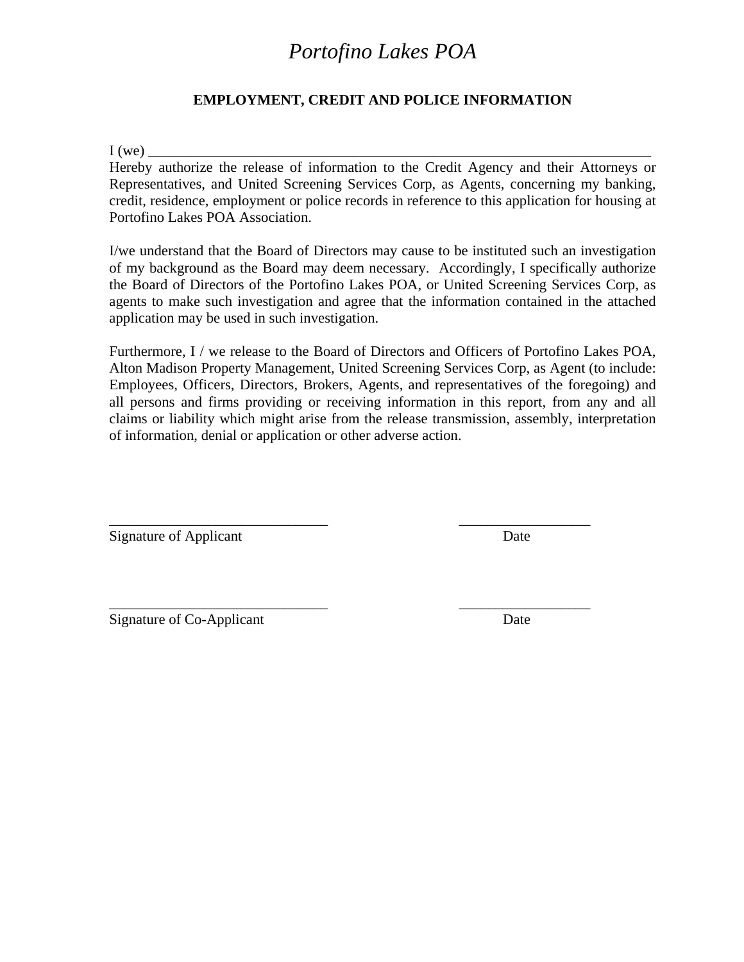### **EMPLOYMENT, CREDIT AND POLICE INFORMATION**

I (we) \_\_\_\_\_\_\_\_\_\_\_\_\_\_\_\_\_\_\_\_\_\_\_\_\_\_\_\_\_\_\_\_\_\_\_\_\_\_\_\_\_\_\_\_\_\_\_\_\_\_\_\_\_\_\_\_\_\_\_\_\_\_\_\_\_\_\_\_\_

Hereby authorize the release of information to the Credit Agency and their Attorneys or Representatives, and United Screening Services Corp, as Agents, concerning my banking, credit, residence, employment or police records in reference to this application for housing at Portofino Lakes POA Association.

I/we understand that the Board of Directors may cause to be instituted such an investigation of my background as the Board may deem necessary. Accordingly, I specifically authorize the Board of Directors of the Portofino Lakes POA, or United Screening Services Corp, as agents to make such investigation and agree that the information contained in the attached application may be used in such investigation.

Furthermore, I / we release to the Board of Directors and Officers of Portofino Lakes POA, Alton Madison Property Management, United Screening Services Corp, as Agent (to include: Employees, Officers, Directors, Brokers, Agents, and representatives of the foregoing) and all persons and firms providing or receiving information in this report, from any and all claims or liability which might arise from the release transmission, assembly, interpretation of information, denial or application or other adverse action.

\_\_\_\_\_\_\_\_\_\_\_\_\_\_\_\_\_\_\_\_\_\_\_\_\_\_\_\_\_\_ \_\_\_\_\_\_\_\_\_\_\_\_\_\_\_\_\_\_

\_\_\_\_\_\_\_\_\_\_\_\_\_\_\_\_\_\_\_\_\_\_\_\_\_\_\_\_\_\_ \_\_\_\_\_\_\_\_\_\_\_\_\_\_\_\_\_\_

Signature of Applicant Date

Signature of Co-Applicant Date